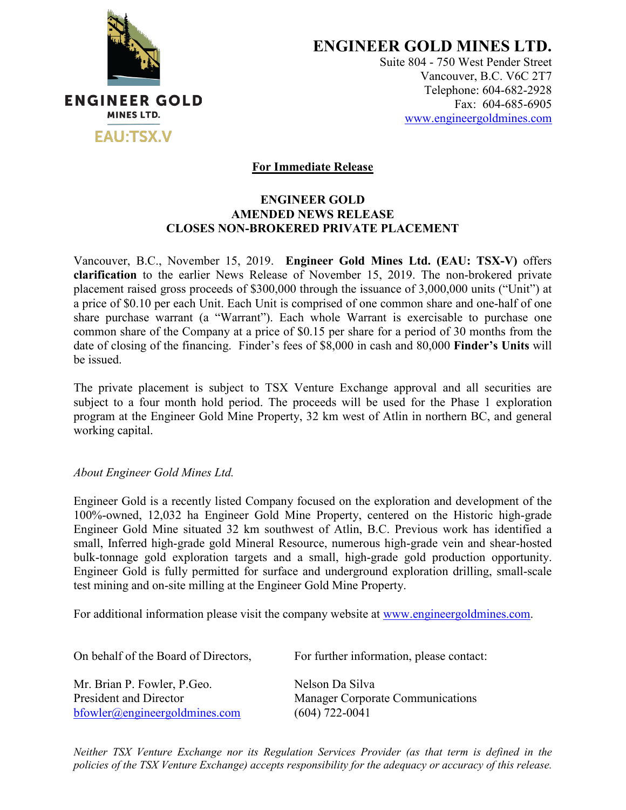

**ENGINEER GOLD MINES LTD.**

Suite 804 - 750 West Pender Street Vancouver, B.C. V6C 2T7 Telephone: 604-682-2928 Fax: 604-685-6905 www.engineergoldmines.com

#### **For Immediate Release**

#### **ENGINEER GOLD AMENDED NEWS RELEASE CLOSES NON-BROKERED PRIVATE PLACEMENT**

Vancouver, B.C., November 15, 2019. **Engineer Gold Mines Ltd. (EAU: TSX-V)** offers **clarification** to the earlier News Release of November 15, 2019. The non-brokered private placement raised gross proceeds of \$300,000 through the issuance of 3,000,000 units ("Unit") at a price of \$0.10 per each Unit. Each Unit is comprised of one common share and one-half of one share purchase warrant (a "Warrant"). Each whole Warrant is exercisable to purchase one common share of the Company at a price of \$0.15 per share for a period of 30 months from the date of closing of the financing. Finder's fees of \$8,000 in cash and 80,000 **Finder's Units** will be issued.

The private placement is subject to TSX Venture Exchange approval and all securities are subject to a four month hold period. The proceeds will be used for the Phase 1 exploration program at the Engineer Gold Mine Property, 32 km west of Atlin in northern BC, and general working capital.

## *About Engineer Gold Mines Ltd.*

Engineer Gold is a recently listed Company focused on the exploration and development of the 100%-owned, 12,032 ha Engineer Gold Mine Property, centered on the Historic high-grade Engineer Gold Mine situated 32 km southwest of Atlin, B.C. Previous work has identified a small, Inferred high-grade gold Mineral Resource, numerous high-grade vein and shear-hosted bulk-tonnage gold exploration targets and a small, high-grade gold production opportunity. Engineer Gold is fully permitted for surface and underground exploration drilling, small-scale test mining and on-site milling at the Engineer Gold Mine Property.

For additional information please visit the company website at [www.engineergoldmines.com.](http://www.blindcreekresources.com/)

| On behalf of the Board of Directors, | For further information, please contact: |
|--------------------------------------|------------------------------------------|
| Mr. Brian P. Fowler, P.Geo.          | Nelson Da Silva                          |
| <b>President and Director</b>        | <b>Manager Corporate Communications</b>  |
| $b$ fowler@engineergoldmines.com     | $(604)$ 722-0041                         |

*Neither TSX Venture Exchange nor its Regulation Services Provider (as that term is defined in the policies of the TSX Venture Exchange) accepts responsibility for the adequacy or accuracy of this release.*